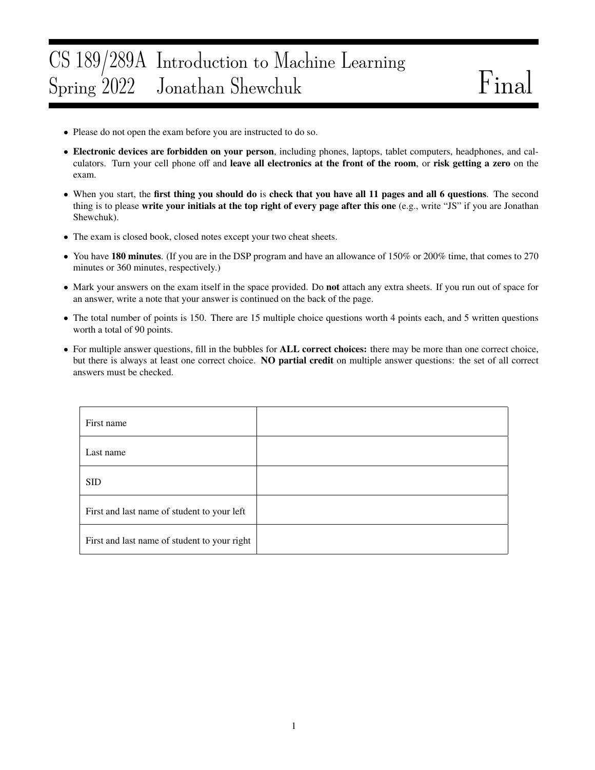### CS 189/289A Introduction to Machine Learning Spring 2022 Jonathan Shewchuk Final

- Please do not open the exam before you are instructed to do so.
- Electronic devices are forbidden on your person, including phones, laptops, tablet computers, headphones, and calculators. Turn your cell phone off and leave all electronics at the front of the room, or risk getting a zero on the exam.
- When you start, the first thing you should do is check that you have all 11 pages and all 6 questions. The second thing is to please write your initials at the top right of every page after this one (e.g., write "JS" if you are Jonathan Shewchuk).
- The exam is closed book, closed notes except your two cheat sheets.
- You have 180 minutes. (If you are in the DSP program and have an allowance of 150% or 200% time, that comes to 270 minutes or 360 minutes, respectively.)
- Mark your answers on the exam itself in the space provided. Do not attach any extra sheets. If you run out of space for an answer, write a note that your answer is continued on the back of the page.
- The total number of points is 150. There are 15 multiple choice questions worth 4 points each, and 5 written questions worth a total of 90 points.
- For multiple answer questions, fill in the bubbles for **ALL correct choices:** there may be more than one correct choice, but there is always at least one correct choice. NO partial credit on multiple answer questions: the set of all correct answers must be checked.

| First name                                   |  |
|----------------------------------------------|--|
| Last name                                    |  |
| <b>SID</b>                                   |  |
| First and last name of student to your left  |  |
| First and last name of student to your right |  |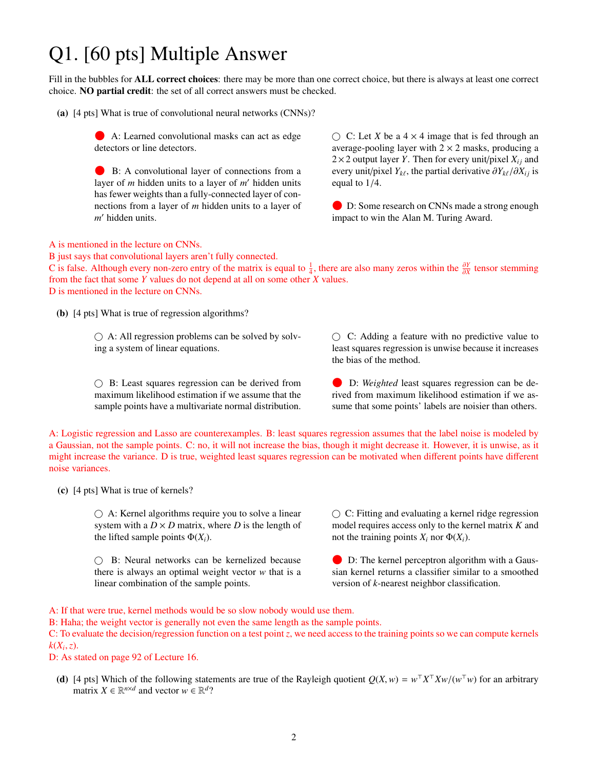# Q1. [60 pts] Multiple Answer

Fill in the bubbles for **ALL correct choices**: there may be more than one correct choice, but there is always at least one correct choice. NO partial credit: the set of all correct answers must be checked.

(a) [4 pts] What is true of convolutional neural networks (CNNs)?

 A: Learned convolutional masks can act as edge detectors or line detectors.

 B: A convolutional layer of connections from a layer of *m* hidden units to a layer of *m'* hidden units has fewer weights than a fully-connected layer of connections from a layer of *m* hidden units to a layer of m' hidden units.

 $\bigcirc$  C: Let *X* be a 4  $\times$  4 image that is fed through an average-pooling layer with  $2 \times 2$  masks, producing a  $2 \times 2$  output layer *Y*. Then for every unit/pixel  $X_{ij}$  and every unit/pixel *Y*<sub>*kt*</sub>, the partial derivative  $\partial Y_{k\ell}/\partial X_{ij}$  is equal to 1/*A* equal to 1/4.

 D: Some research on CNNs made a strong enough impact to win the Alan M. Turing Award.

A is mentioned in the lecture on CNNs.

B just says that convolutional layers aren't fully connected.

C is false. Although every non-zero entry of the matrix is equal to  $\frac{1}{4}$ , there are also many zeros within the  $\frac{\partial Y}{\partial X}$  tensor stemming from the fact that some *Y* values do not depend at all on some other *X* va from the fact that some *Y* values do not depend at all on some other *X* values. D is mentioned in the lecture on CNNs.

(b) [4 pts] What is true of regression algorithms?

 $\bigcirc$  A: All regression problems can be solved by solving a system of linear equations.

 $\bigcirc$  B: Least squares regression can be derived from maximum likelihood estimation if we assume that the sample points have a multivariate normal distribution.  $\circ$  C: Adding a feature with no predictive value to least squares regression is unwise because it increases the bias of the method.

 D: *Weighted* least squares regression can be derived from maximum likelihood estimation if we assume that some points' labels are noisier than others.

A: Logistic regression and Lasso are counterexamples. B: least squares regression assumes that the label noise is modeled by a Gaussian, not the sample points. C: no, it will not increase the bias, though it might decrease it. However, it is unwise, as it might increase the variance. D is true, weighted least squares regression can be motivated when different points have different noise variances.

(c) [4 pts] What is true of kernels?

 A: Kernel algorithms require you to solve a linear system with a  $D \times D$  matrix, where *D* is the length of the lifted sample points  $\Phi(X_i)$ .

 B: Neural networks can be kernelized because there is always an optimal weight vector *w* that is a linear combination of the sample points.

 $\circlearrowright$  C: Fitting and evaluating a kernel ridge regression model requires access only to the kernel matrix *K* and not the training points  $X_i$  nor  $\Phi(X_i)$ .

 D: The kernel perceptron algorithm with a Gaussian kernel returns a classifier similar to a smoothed version of *k*-nearest neighbor classification.

A: If that were true, kernel methods would be so slow nobody would use them.

B: Haha; the weight vector is generally not even the same length as the sample points.

C: To evaluate the decision/regression function on a test point *z*, we need access to the training points so we can compute kernels  $k(X_i, z)$ .<br>D:  $\Delta s$ 

D: As stated on page 92 of Lecture 16.

(d) [4 pts] Which of the following statements are true of the Rayleigh quotient  $Q(X, w) = w^{\top} X^{\top} X w / (w^{\top} w)$  for an arbitrary matrix  $X \in \mathbb{R}^{n \times d}$  and vector  $w \in \mathbb{R}^{d}$ ? matrix  $X \in \mathbb{R}^{n \times d}$  and vector  $w \in \mathbb{R}^d$ ?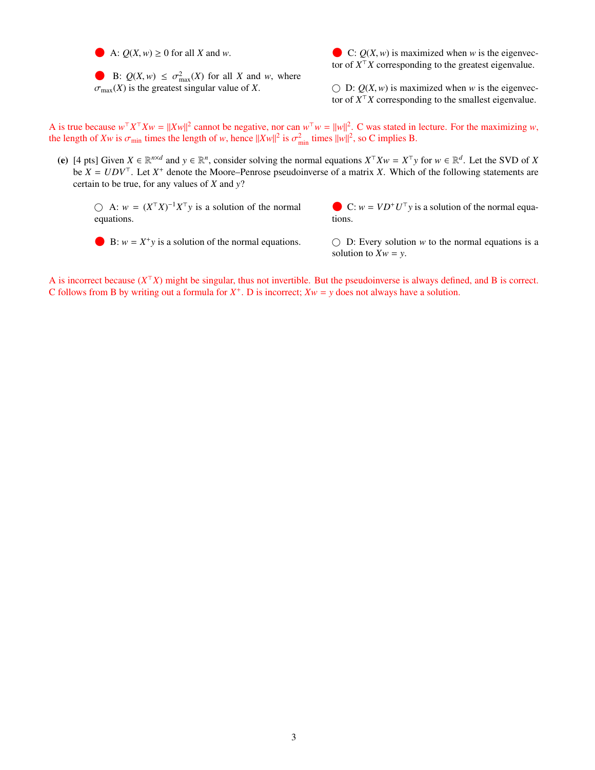A:  $Q(X, w) \ge 0$  for all *X* and *w*.

B:  $Q(X, w) \leq \sigma_{\text{max}}^2(X)$  for all *X* and *w*, where  $\sigma$  (*X*) is the greatest singular value of *X*  $\sigma_{\text{max}}(X)$  is the greatest singular value of *X*.

 $\bigodot$  C:  $Q(X, w)$  is maximized when *w* is the eigenvector of  $X^{\top}X$  corresponding to the greatest eigenvalue.

 $\bigcirc$  D:  $Q(X, w)$  is maximized when *w* is the eigenvector of  $X^{\top}X$  corresponding to the smallest eigenvalue.

A is true because  $w^{\top}X^{\top}Xw = ||Xw||^2$  cannot be negative, nor can  $w^{\top}w = ||w||^2$ . C was stated in lecture. For the maximizing *w*, the length of *Xw* is  $\sigma_{\min}$  times the length of *w*, hence  $||Xw||^2$  is  $\sigma_{\min}^2$  times  $||w||^2$ , so C implies B.

(e) [4 pts] Given  $X \in \mathbb{R}^{n \times d}$  and  $y \in \mathbb{R}^n$ , consider solving the normal equations  $X^{\top} X w = X^{\top} y$  for  $w \in \mathbb{R}^d$ . Let the SVD of X be  $X = UDV^{\top}$ . Let  $X^+$  denote the Moore–Penrose pseudoinverse of a matrix X. Which of the following statements are certain to be true, for any values of *X* and *y*?

 $\bigcirc$  A:  $w = (X^{\top}X)^{-1}X^{\top}y$  is a solution of the normal equations.

C:  $w = V D^+ U^{\top} y$  is a solution of the normal equations tions.

 $\bullet$  B:  $w = X^+ y$  is a solution of the normal equations.

 $\bigcirc$  D: Every solution *w* to the normal equations is a solution to  $Xw = y$ .

A is incorrect because  $(X^{\top}X)$  might be singular, thus not invertible. But the pseudoinverse is always defined, and B is correct. C follows from B by writing out a formula for  $X^+$ . D is incorrect;  $Xw = y$  does not always have a solution.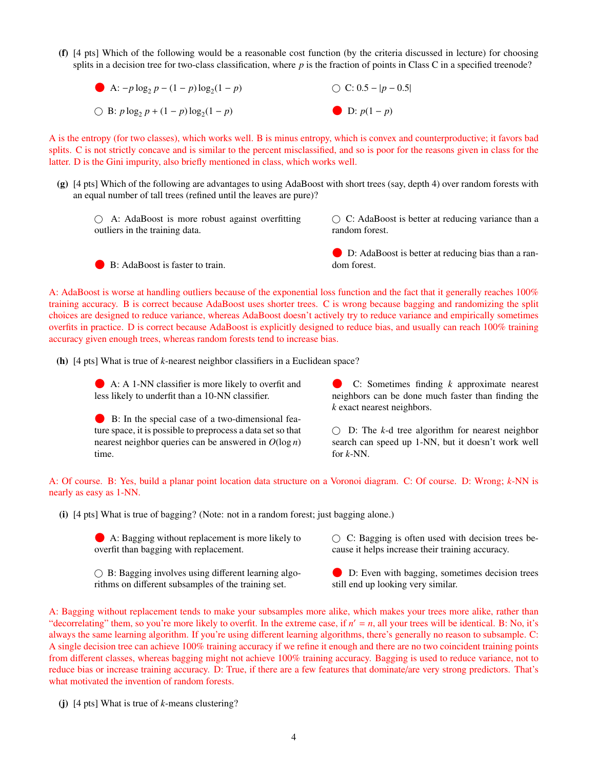- (f) [4 pts] Which of the following would be a reasonable cost function (by the criteria discussed in lecture) for choosing splits in a decision tree for two-class classification, where *p* is the fraction of points in Class C in a specified treenode?
	- **a**:  $-p \log_2 p (1-p) \log_2 (1-p)$  $\bigcirc$  B: *p* log<sub>2</sub> *p* + (1 − *p*) log<sub>2</sub>(1 − *p*)  $\bigcirc$  C: 0.5 – |*p* – 0.5|  $\n **D**: p(1-p)\n$

A is the entropy (for two classes), which works well. B is minus entropy, which is convex and counterproductive; it favors bad splits. C is not strictly concave and is similar to the percent misclassified, and so is poor for the reasons given in class for the latter. D is the Gini impurity, also briefly mentioned in class, which works well.

- (g) [4 pts] Which of the following are advantages to using AdaBoost with short trees (say, depth 4) over random forests with an equal number of tall trees (refined until the leaves are pure)?
	- A: AdaBoost is more robust against overfitting outliers in the training data.
- $\circlearrowright$  C: AdaBoost is better at reducing variance than a random forest.

B: AdaBoost is faster to train.

 D: AdaBoost is better at reducing bias than a random forest.

A: AdaBoost is worse at handling outliers because of the exponential loss function and the fact that it generally reaches 100% training accuracy. B is correct because AdaBoost uses shorter trees. C is wrong because bagging and randomizing the split choices are designed to reduce variance, whereas AdaBoost doesn't actively try to reduce variance and empirically sometimes overfits in practice. D is correct because AdaBoost is explicitly designed to reduce bias, and usually can reach 100% training accuracy given enough trees, whereas random forests tend to increase bias.

(h) [4 pts] What is true of *k*-nearest neighbor classifiers in a Euclidean space?

 A: A 1-NN classifier is more likely to overfit and less likely to underfit than a 10-NN classifier.

 B: In the special case of a two-dimensional feature space, it is possible to preprocess a data set so that nearest neighbor queries can be answered in *O*(log *n*) time.

 C: Sometimes finding *<sup>k</sup>* approximate nearest neighbors can be done much faster than finding the *k* exact nearest neighbors.

 $\bigcirc$  D: The *k*-d tree algorithm for nearest neighbor search can speed up 1-NN, but it doesn't work well for *k*-NN.

A: Of course. B: Yes, build a planar point location data structure on a Voronoi diagram. C: Of course. D: Wrong; *k*-NN is nearly as easy as 1-NN.

(i) [4 pts] What is true of bagging? (Note: not in a random forest; just bagging alone.)

 A: Bagging without replacement is more likely to overfit than bagging with replacement.

 $\bigcirc$  B: Bagging involves using different learning algorithms on different subsamples of the training set.

 $\circ$  C: Bagging is often used with decision trees because it helps increase their training accuracy.

 D: Even with bagging, sometimes decision trees still end up looking very similar.

A: Bagging without replacement tends to make your subsamples more alike, which makes your trees more alike, rather than "decorrelating" them, so you're more likely to overfit. In the extreme case, if  $n' = n$ , all your trees will be identical. B: No, it's always the same learning algorithm. If you're using different learning algorithms, there's generally no reason to subsample. C: A single decision tree can achieve 100% training accuracy if we refine it enough and there are no two coincident training points from different classes, whereas bagging might not achieve 100% training accuracy. Bagging is used to reduce variance, not to reduce bias or increase training accuracy. D: True, if there are a few features that dominate/are very strong predictors. That's what motivated the invention of random forests.

(j) [4 pts] What is true of *k*-means clustering?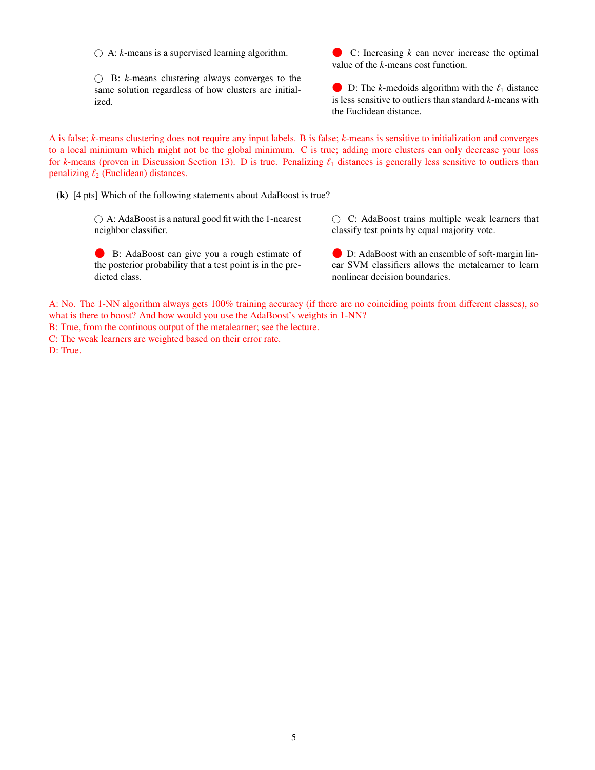$\bigcirc$  A: *k*-means is a supervised learning algorithm.

 $\bigcirc$  B: *k*-means clustering always converges to the same solution regardless of how clusters are initialized.

 $\bullet$  C: Increasing  $k$  can never increase the optimal value of the *k*-means cost function.

 $\bullet$  D: The *k*-medoids algorithm with the  $\ell_1$  distance is less sensitive to outliers than standard *k*-means with the Euclidean distance.

A is false; *k*-means clustering does not require any input labels. B is false; *k*-means is sensitive to initialization and converges to a local minimum which might not be the global minimum. C is true; adding more clusters can only decrease your loss for *k*-means (proven in Discussion Section 13). D is true. Penalizing  $\ell_1$  distances is generally less sensitive to outliers than penalizing  $\ell_2$  (Euclidean) distances.

(k) [4 pts] Which of the following statements about AdaBoost is true?

 $\bigcirc$  A: AdaBoost is a natural good fit with the 1-nearest neighbor classifier.

 C: AdaBoost trains multiple weak learners that classify test points by equal majority vote.

B: AdaBoost can give you a rough estimate of the posterior probability that a test point is in the predicted class.

 D: AdaBoost with an ensemble of soft-margin linear SVM classifiers allows the metalearner to learn nonlinear decision boundaries.

A: No. The 1-NN algorithm always gets 100% training accuracy (if there are no coinciding points from different classes), so what is there to boost? And how would you use the AdaBoost's weights in 1-NN?

B: True, from the continous output of the metalearner; see the lecture.

C: The weak learners are weighted based on their error rate.

D: True.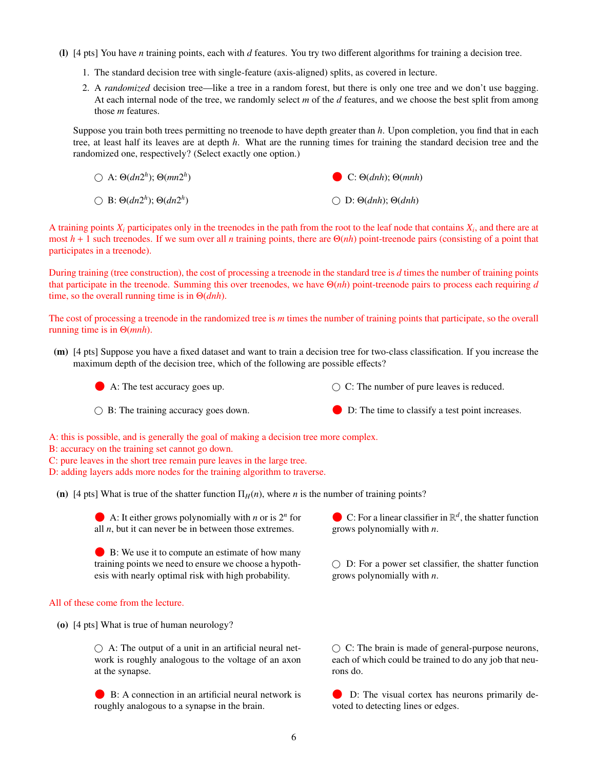- (l) [4 pts] You have *n* training points, each with *d* features. You try two different algorithms for training a decision tree.
	- 1. The standard decision tree with single-feature (axis-aligned) splits, as covered in lecture.
	- 2. A *randomized* decision tree—like a tree in a random forest, but there is only one tree and we don't use bagging. At each internal node of the tree, we randomly select *m* of the *d* features, and we choose the best split from among those *m* features.

Suppose you train both trees permitting no treenode to have depth greater than *h*. Upon completion, you find that in each tree, at least half its leaves are at depth *h*. What are the running times for training the standard decision tree and the randomized one, respectively? (Select exactly one option.)

| $\bigcirc$ A: $\Theta(dn2^h)$ ; $\Theta(mn2^h)$ | C: $\Theta(dnh)$ ; $\Theta(mnh)$            |
|-------------------------------------------------|---------------------------------------------|
| $\bigcirc$ B: $\Theta(dn2^h)$ ; $\Theta(dn2^h)$ | $\bigcirc$ D: $\Theta(dnh)$ ; $\Theta(dnh)$ |

A training points  $X_i$  participates only in the treenodes in the path from the root to the leaf node that contains  $X_i$ , and there are at most  $h + 1$  such treenodes. If we sum over all *n* training points, there are  $\Theta(nh)$  point-treenode pairs (consisting of a point that participates in a treenode).

During training (tree construction), the cost of processing a treenode in the standard tree is *d* times the number of training points that participate in the treenode. Summing this over treenodes, we have Θ(*nh*) point-treenode pairs to process each requiring *d* time, so the overall running time is in Θ(*dnh*).

The cost of processing a treenode in the randomized tree is *m* times the number of training points that participate, so the overall running time is in Θ(*mnh*).

(m) [4 pts] Suppose you have a fixed dataset and want to train a decision tree for two-class classification. If you increase the maximum depth of the decision tree, which of the following are possible effects?

A: The test accuracy goes up.

 $\bigcirc$  B: The training accuracy goes down.

- $\bigcirc$  C: The number of pure leaves is reduced.
- D: The time to classify a test point increases.

A: this is possible, and is generally the goal of making a decision tree more complex.

- B: accuracy on the training set cannot go down.
- C: pure leaves in the short tree remain pure leaves in the large tree.
- D: adding layers adds more nodes for the training algorithm to traverse.

(n) [4 pts] What is true of the shatter function  $\Pi_H(n)$ , where *n* is the number of training points?

A: It either grows polynomially with *n* or is  $2^n$  for all *n* but it can never be in between those extremes all  $n$ , but it can never be in between those extremes.

 B: We use it to compute an estimate of how many training points we need to ensure we choose a hypothesis with nearly optimal risk with high probability.

#### All of these come from the lecture.

(o) [4 pts] What is true of human neurology?

 $\bigcirc$  A: The output of a unit in an artificial neural network is roughly analogous to the voltage of an axon at the synapse.

 B: A connection in an artificial neural network is roughly analogous to a synapse in the brain.

C: For a linear classifier in  $\mathbb{R}^d$ , the shatter function<br>grows polynomially with *n* grows polynomially with *n*.

 $\bigcirc$  D: For a power set classifier, the shatter function grows polynomially with *n*.

 $\bigcirc$  C: The brain is made of general-purpose neurons, each of which could be trained to do any job that neurons do.

 D: The visual cortex has neurons primarily devoted to detecting lines or edges.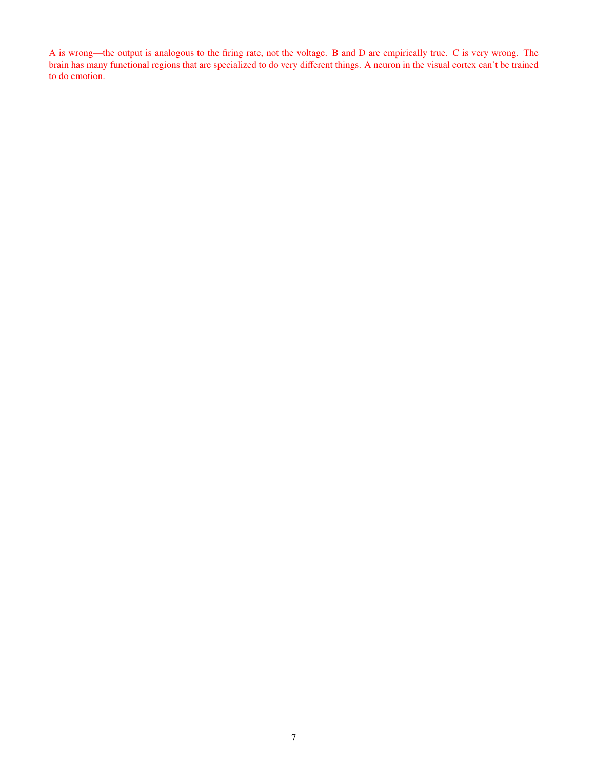A is wrong—the output is analogous to the firing rate, not the voltage. B and D are empirically true. C is very wrong. The brain has many functional regions that are specialized to do very different things. A neuron in the visual cortex can't be trained to do emotion.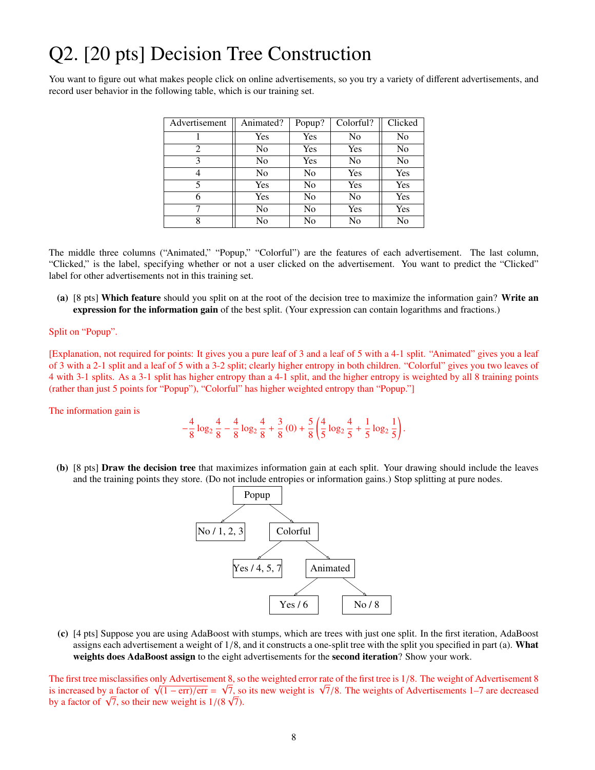## Q2. [20 pts] Decision Tree Construction

You want to figure out what makes people click on online advertisements, so you try a variety of different advertisements, and record user behavior in the following table, which is our training set.

| Advertisement | Animated?      | Popup? | Colorful? | Clicked        |
|---------------|----------------|--------|-----------|----------------|
|               | Yes            | Yes    | No        | N <sub>0</sub> |
| 2             | N <sub>0</sub> | Yes    | Yes       | N <sub>0</sub> |
| 3             | N <sub>0</sub> | Yes    | No        | N <sub>0</sub> |
| 4             | N <sub>0</sub> | No     | Yes       | Yes            |
| 5             | Yes            | No     | Yes       | Yes            |
| 6             | Yes            | No     | No        | Yes            |
|               | No             | No     | Yes       | Yes            |
|               | No             | No     | No        | No             |

The middle three columns ("Animated," "Popup," "Colorful") are the features of each advertisement. The last column, "Clicked," is the label, specifying whether or not a user clicked on the advertisement. You want to predict the "Clicked" label for other advertisements not in this training set.

(a) [8 pts] Which feature should you split on at the root of the decision tree to maximize the information gain? Write an expression for the information gain of the best split. (Your expression can contain logarithms and fractions.)

### Split on "Popup".

[Explanation, not required for points: It gives you a pure leaf of 3 and a leaf of 5 with a 4-1 split. "Animated" gives you a leaf of 3 with a 2-1 split and a leaf of 5 with a 3-2 split; clearly higher entropy in both children. "Colorful" gives you two leaves of 4 with 3-1 splits. As a 3-1 split has higher entropy than a 4-1 split, and the higher entropy is weighted by all 8 training points (rather than just 5 points for "Popup"), "Colorful" has higher weighted entropy than "Popup."]

The information gain is

$$
-\frac{4}{8}\log_2\frac{4}{8}-\frac{4}{8}\log_2\frac{4}{8}+\frac{3}{8}(0)+\frac{5}{8}\left(\frac{4}{5}\log_2\frac{4}{5}+\frac{1}{5}\log_2\frac{1}{5}\right).
$$

(b) [8 pts] Draw the decision tree that maximizes information gain at each split. Your drawing should include the leaves and the training points they store. (Do not include entropies or information gains.) Stop splitting at pure nodes.



(c) [4 pts] Suppose you are using AdaBoost with stumps, which are trees with just one split. In the first iteration, AdaBoost assigns each advertisement a weight of  $1/8$ , and it constructs a one-split tree with the split you specified in part (a). What weights does AdaBoost assign to the eight advertisements for the second iteration? Show your work.

The first tree misclassifies only Advertisement 8, so the weighted error rate of the first tree is 1/8. The weight of Advertisement 8 is increased by a factor of  $\sqrt{(1 - \text{err})/\text{err}} = \sqrt{7}$  so its new weight is  $\sqrt{7}/8$ . The I he first tree misclassifies only Advertisement 8, so the weighted error rate of the first tree is 1/8. The weight of Advertisements 1<br>is increased by a factor of  $\sqrt{(1 - \text{err})/\text{err}} = \sqrt{7}$ , so its new weight is  $\sqrt{7}/8$ . is increased by a factor of  $\sqrt{7}$ , so their new weight is  $1/(8\sqrt{7})$ .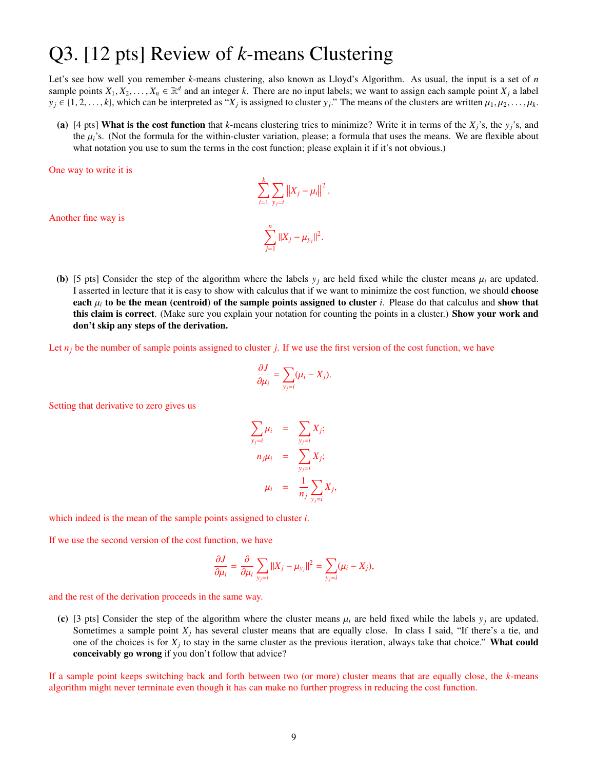## Q3. [12 pts] Review of *k*-means Clustering

Let's see how well you remember *k*-means clustering, also known as Lloyd's Algorithm. As usual, the input is a set of *n* sample points  $X_1, X_2, \ldots, X_n \in \mathbb{R}^d$  and an integer *k*. There are no input labels; we want to assign each sample point  $X_j$  a label  $y_i \in \{1, 2, \ldots, k\}$  which can be interpreted as "*X*, is assigned to cluster *y*,"  $y_j \in \{1, 2, \ldots, k\}$ , which can be interpreted as " $X_j$  is assigned to cluster  $y_j$ ." The means of the clusters are written  $\mu_1, \mu_2, \ldots, \mu_k$ .

(a) [4 pts] What is the cost function that *k*-means clustering tries to minimize? Write it in terms of the  $X_i$ 's, the  $y_i$ 's, and the  $\mu_i$ 's. (Not the formula for the within-cluster variation, please; a formula that uses the means. We are flexible about what notation you use to sum the terms in the cost function; please explain it if it's not obvious.)

 $\|X_j - \mu_i\|$ 

2

One way to write it is

Another fine way is

(b) [5 pts] Consider the step of the algorithm where the labels  $y_i$  are held fixed while the cluster means  $\mu_i$  are updated. I asserted in lecture that it is easy to show with calculus that if we want to minimize the cost function, we should choose each  $\mu_i$  to be the mean (centroid) of the sample points assigned to cluster *i*. Please do that calculus and show that this claim is correct. (Make sure you explain your notation for counting the points in a cluster.) Show your work and don't skip any steps of the derivation.

 $\sum_{j=1}$   $||X_j - \mu_{y_j}||^2$ 

Let  $n_j$  be the number of sample points assigned to cluster *j*. If we use the first version of the cost function, we have

 $\sum$ *i*=1

 $\sum_{n=1}^{n}$ 

 $\nabla$ *yj*=*i*

$$
\frac{\partial J}{\partial \mu_i} = \sum_{y_j=i} (\mu_i - X_j).
$$

Setting that derivative to zero gives us

$$
\sum_{y_j=i} \mu_i = \sum_{y_j=i} X_j;
$$
  
\n
$$
n_j \mu_i = \sum_{y_j=i} X_j;
$$
  
\n
$$
\mu_i = \frac{1}{n_j} \sum_{y_j=i} X_j
$$

,

which indeed is the mean of the sample points assigned to cluster *i*.

If we use the second version of the cost function, we have

$$
\frac{\partial J}{\partial \mu_i} = \frac{\partial}{\partial \mu_i} \sum_{y_j=i} ||X_j - \mu_{y_j}||^2 = \sum_{y_j=i} (\mu_i - X_j),
$$

and the rest of the derivation proceeds in the same way.

(c) [3 pts] Consider the step of the algorithm where the cluster means  $\mu_i$  are held fixed while the labels  $y_j$  are updated. Sometimes a sample point  $X_j$  has several cluster means that are equally close. In class I said, "If there's a tie, and one of the choices is for  $X_j$  to stay in the same cluster as the previous iteration, always take that choice." What could conceivably go wrong if you don't follow that advice?

If a sample point keeps switching back and forth between two (or more) cluster means that are equally close, the *k*-means algorithm might never terminate even though it has can make no further progress in reducing the cost function.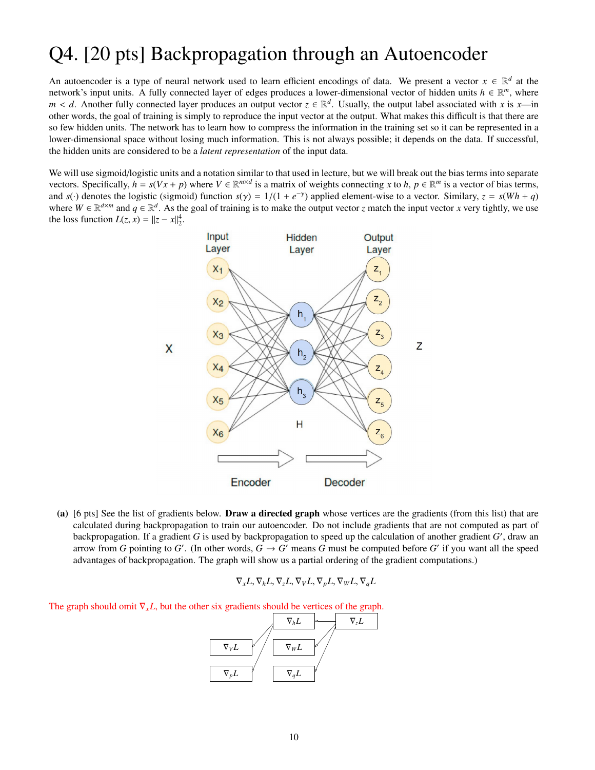### Q4. [20 pts] Backpropagation through an Autoencoder

An autoencoder is a type of neural network used to learn efficient encodings of data. We present a vector  $x \in \mathbb{R}^d$  at the network's input units. A fully connected layer of edges produces a lower-dimensional vector of hidden units  $h \in \mathbb{R}^m$ , where *m* < *d*. Another fully connected layer produces an output vector  $z \in \mathbb{R}^d$ . Usually, the output label associated with *x* is *x*—in other words the goal of training is simply to reproduce the input vector at the out other words, the goal of training is simply to reproduce the input vector at the output. What makes this difficult is that there are so few hidden units. The network has to learn how to compress the information in the training set so it can be represented in a lower-dimensional space without losing much information. This is not always possible; it depends on the data. If successful, the hidden units are considered to be a *latent representation* of the input data.

We will use sigmoid/logistic units and a notation similar to that used in lecture, but we will break out the bias terms into separate vectors. Specifically,  $h = s(Vx + p)$  where  $V \in \mathbb{R}^{m \times d}$  is a matrix of weights connecting *x* to *h*,  $p \in \mathbb{R}^m$  is a vector of bias terms, and *s*(·) denotes the logistic (sigmoid) function  $s(\gamma) = 1/(1 + e^{-\gamma})$  applied element-wise to a vector. Similary,  $z = s(Wh + q)$ <br>where  $W \in \mathbb{R}^{d \times m}$  and  $q \in \mathbb{R}^d$ . As the goal of training is to make the output vector where  $W \in \mathbb{R}^{d \times m}$  and  $q \in \mathbb{R}^d$ . As the goal of training is to make the output vector *z* match the input vector *x* very tightly, we use the loss function  $L(z, x) = ||z - x||_2^4$ .



(a) [6 pts] See the list of gradients below. Draw a directed graph whose vertices are the gradients (from this list) that are calculated during backpropagation to train our autoencoder. Do not include gradients that are not computed as part of backpropagation. If a gradient G is used by backpropagation to speed up the calculation of another gradient G', draw an arrow from *G* pointing to *G'*. (In other words,  $G \to G'$  means *G* must be computed before *G'* if you want all the speed advantages of backpropagation. The graph will show us a partial ordering of the gradient computations.)

$$
\nabla_x L, \nabla_h L, \nabla_z L, \nabla_V L, \nabla_p L, \nabla_W L, \nabla_q L
$$

The graph should omit  $\nabla_x L$ , but the other six gradients should be vertices of the graph.

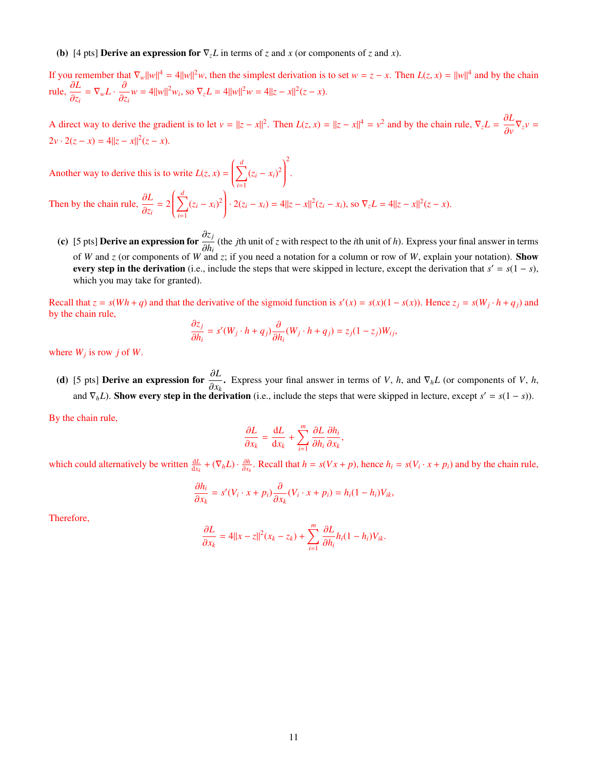#### (b) [4 pts] **Derive an expression for**  $\nabla_z L$  in terms of *z* and *x* (or components of *z* and *x*).

If you remember that  $\nabla_w ||w||^4 = 4||w||^2 w$ , then the simplest derivation is to set  $w = z - x$ . Then  $L(z, x) = ||w||^4$  and by the chain  $\frac{\partial L}{\partial x}$ rule,  $\frac{\partial L}{\partial z}$  $\frac{\partial L}{\partial z_i} = \nabla_w L \cdot \frac{\partial}{\partial z_i} w = 4||w||^2 w_i$ , so  $\nabla_z L = 4||w||^2 w = 4||z - x||^2 (z - x)$ .

A direct way to derive the gradient is to let  $v = ||z - x||^2$ . Then  $L(z, x) = ||z - x||^4 = v^2$  and by the chain rule,  $\nabla_z L = \frac{\partial L}{\partial v}$  $\frac{\partial^2 U}{\partial v} \nabla_z v =$  $2v \cdot 2(z - x) = 4||z - x||^2(z - x).$ 

.

Another way to derive this is to write  $L(z, x) =$  $\left(\frac{d}{\sum_{i=1}^{n}}\right)$  $\overline{\phantom{a}}$ *i*=1  $(z_i - x_i)^2$ <sup>2</sup>

 $\begin{array}{c} \end{array}$ Then by the chain rule,  $\frac{\partial L}{\partial z}$  $\frac{\partial z}{\partial z_i} = 2$  $\left(\frac{d}{\sum_{i=1}^{n}}\right)$  $\overline{\phantom{a}}$ *i*=1  $(z_i - x_i)^2$  $\begin{array}{c} \end{array}$  $\cdot$  2( $z_i - x_i$ ) = 4|| $z - x$ ||<sup>2</sup>( $z_i - x_i$ ), so  $\nabla_z L = 4||z - x||^2(z - x)$ .

(c) [5 pts] Derive an expression for  $\frac{\partial z_j}{\partial t}$  (the *j*th unit of *z* with respect to the *i*th unit of *h*). Express your final answer in terms  $\partial h_i$   $\partial h_i$  and *z* (or components of *W* and *z*; if you need a notation for a column or row of *W*, explain your notation). Show every step in the derivation (i.e., include the steps that were skipped in lecture, except the derivation that  $s' = s(1 - s)$ , which you may take for granted).

Recall that  $z = s(Wh + q)$  and that the derivative of the sigmoid function is  $s'(x) = s(x)(1 - s(x))$ . Hence  $z_j = s(W_j \cdot h + q_j)$  and by the chain rule,

$$
\frac{\partial z_j}{\partial h_i} = s'(W_j \cdot h + q_j) \frac{\partial}{\partial h_i}(W_j \cdot h + q_j) = z_j(1 - z_j)W_{ij},
$$

where  $W_j$  is row *j* of *W*.

(d) [5 pts] Derive an expression for <sup>∂</sup>*<sup>L</sup>*  $\frac{\partial Z}{\partial x_k}$ . Express your final answer in terms of *V*, *h*, and  $\nabla_h L$  (or components of *V*, *h*, derivation (i.e., include the steps that were skipped in lecture, except  $s' = s(1 - s)$ ). and  $\nabla_h L$ ). Show every step in the derivation (i.e., include the steps that were skipped in lecture, except  $s' = s(1 - s)$ ).

By the chain rule,

$$
\frac{\partial L}{\partial x_k} = \frac{\mathrm{d}L}{\mathrm{d}x_k} + \sum_{i=1}^m \frac{\partial L}{\partial h_i} \frac{\partial h_i}{\partial x_k},
$$

which could alternatively be written  $\frac{dL}{dx_k} + (\nabla_h L) \cdot \frac{\partial h}{\partial x_k}$ . Recall that  $h = s(Vx + p)$ , hence  $h_i = s(V_i \cdot x + p_i)$  and by the chain rule,

$$
\frac{\partial h_i}{\partial x_k} = s'(V_i \cdot x + p_i) \frac{\partial}{\partial x_k} (V_i \cdot x + p_i) = h_i (1 - h_i) V_{ik},
$$

Therefore,

$$
\frac{\partial L}{\partial x_k} = 4||x - z||^2(x_k - z_k) + \sum_{i=1}^m \frac{\partial L}{\partial h_i}h_i(1 - h_i)V_{ik}.
$$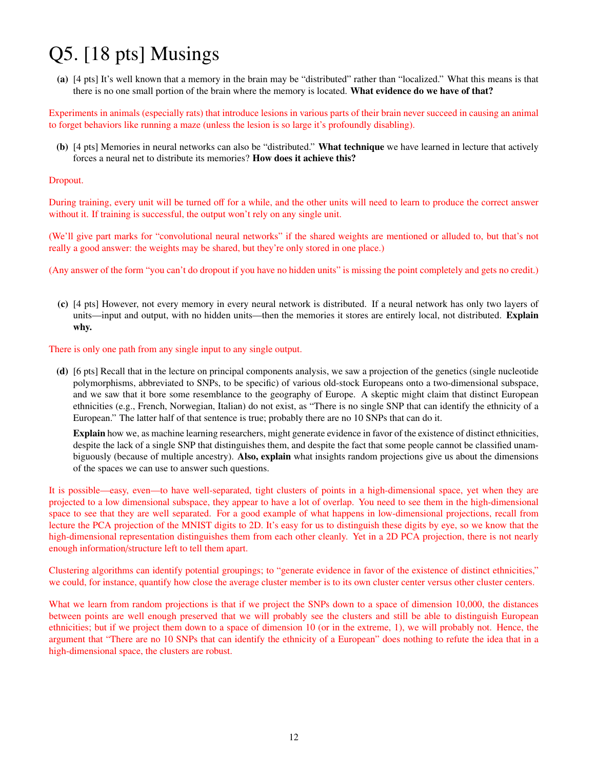# Q5. [18 pts] Musings

(a) [4 pts] It's well known that a memory in the brain may be "distributed" rather than "localized." What this means is that there is no one small portion of the brain where the memory is located. What evidence do we have of that?

Experiments in animals (especially rats) that introduce lesions in various parts of their brain never succeed in causing an animal to forget behaviors like running a maze (unless the lesion is so large it's profoundly disabling).

(b) [4 pts] Memories in neural networks can also be "distributed." What technique we have learned in lecture that actively forces a neural net to distribute its memories? How does it achieve this?

### Dropout.

During training, every unit will be turned off for a while, and the other units will need to learn to produce the correct answer without it. If training is successful, the output won't rely on any single unit.

(We'll give part marks for "convolutional neural networks" if the shared weights are mentioned or alluded to, but that's not really a good answer: the weights may be shared, but they're only stored in one place.)

(Any answer of the form "you can't do dropout if you have no hidden units" is missing the point completely and gets no credit.)

(c) [4 pts] However, not every memory in every neural network is distributed. If a neural network has only two layers of units—input and output, with no hidden units—then the memories it stores are entirely local, not distributed. Explain why.

### There is only one path from any single input to any single output.

(d) [6 pts] Recall that in the lecture on principal components analysis, we saw a projection of the genetics (single nucleotide polymorphisms, abbreviated to SNPs, to be specific) of various old-stock Europeans onto a two-dimensional subspace, and we saw that it bore some resemblance to the geography of Europe. A skeptic might claim that distinct European ethnicities (e.g., French, Norwegian, Italian) do not exist, as "There is no single SNP that can identify the ethnicity of a European." The latter half of that sentence is true; probably there are no 10 SNPs that can do it.

Explain how we, as machine learning researchers, might generate evidence in favor of the existence of distinct ethnicities, despite the lack of a single SNP that distinguishes them, and despite the fact that some people cannot be classified unambiguously (because of multiple ancestry). Also, explain what insights random projections give us about the dimensions of the spaces we can use to answer such questions.

It is possible—easy, even—to have well-separated, tight clusters of points in a high-dimensional space, yet when they are projected to a low dimensional subspace, they appear to have a lot of overlap. You need to see them in the high-dimensional space to see that they are well separated. For a good example of what happens in low-dimensional projections, recall from lecture the PCA projection of the MNIST digits to 2D. It's easy for us to distinguish these digits by eye, so we know that the high-dimensional representation distinguishes them from each other cleanly. Yet in a 2D PCA projection, there is not nearly enough information/structure left to tell them apart.

Clustering algorithms can identify potential groupings; to "generate evidence in favor of the existence of distinct ethnicities," we could, for instance, quantify how close the average cluster member is to its own cluster center versus other cluster centers.

What we learn from random projections is that if we project the SNPs down to a space of dimension 10,000, the distances between points are well enough preserved that we will probably see the clusters and still be able to distinguish European ethnicities; but if we project them down to a space of dimension 10 (or in the extreme, 1), we will probably not. Hence, the argument that "There are no 10 SNPs that can identify the ethnicity of a European" does nothing to refute the idea that in a high-dimensional space, the clusters are robust.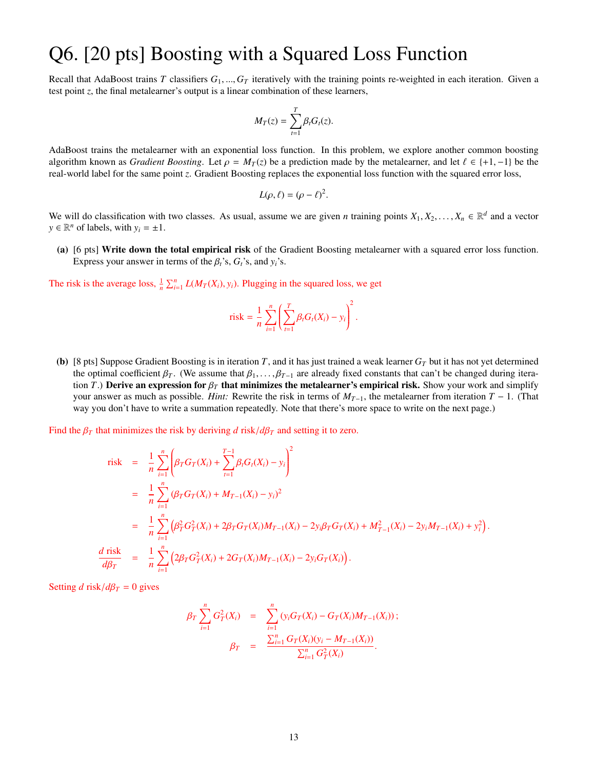### Q6. [20 pts] Boosting with a Squared Loss Function

Recall that AdaBoost trains *<sup>T</sup>* classifiers *<sup>G</sup>*1, ...,*G<sup>T</sup>* iteratively with the training points re-weighted in each iteration. Given a test point *z*, the final metalearner's output is a linear combination of these learners,

$$
M_T(z) = \sum_{t=1}^T \beta_t G_t(z).
$$

AdaBoost trains the metalearner with an exponential loss function. In this problem, we explore another common boosting algorithm known as *Gradient Boosting*. Let  $\rho = M_T(z)$  be a prediction made by the metalearner, and let  $\ell \in \{+1, -1\}$  be the real-world label for the same point *z*. Gradient Boosting replaces the exponential loss function with the squared error loss,

$$
L(\rho,\ell)=(\rho-\ell)^2.
$$

We will do classification with two classes. As usual, assume we are given *n* training points  $X_1, X_2, \ldots, X_n \in \mathbb{R}^d$  and a vector  $y \in \mathbb{R}^n$  of labels with  $y_1 - 1$  $y \in \mathbb{R}^n$  of labels, with  $y_i = \pm 1$ .

(a) [6 pts] Write down the total empirical risk of the Gradient Boosting metalearner with a squared error loss function. Express your answer in terms of the  $\beta_t$ 's,  $G_t$ 's, and  $y_t$ 's.

The risk is the average loss,  $\frac{1}{n} \sum_{i=1}^{n} L(M_T(X_i), y_i)$ . Plugging in the squared loss, we get

$$
\text{risk} = \frac{1}{n} \sum_{i=1}^n \left( \sum_{t=1}^T \beta_t G_t(X_i) - y_i \right)^2.
$$

(b) [8 pts] Suppose Gradient Boosting is in iteration *T*, and it has just trained a weak learner *G<sup>T</sup>* but it has not yet determined the optimal coefficient  $\beta_T$ . (We assume that  $\beta_1, \ldots, \beta_{T-1}$  are already fixed constants that can't be changed during iteration *T*.) Derive an expression for  $\beta_T$  that minimizes the metalearner's empirical risk. Show your work and simplify your answer as much as possible. *Hint:* Rewrite the risk in terms of  $M_{T-1}$ , the metalearner from iteration  $T - 1$ . (That way you don't have to write a summation repeatedly. Note that there's more space to write on the next page.)

Find the  $\beta_T$  that minimizes the risk by deriving *d* risk/ $d\beta_T$  and setting it to zero.

$$
\text{risk} = \frac{1}{n} \sum_{i=1}^n \left( \beta_T G_T(X_i) + \sum_{t=1}^{T-1} \beta_t G_t(X_i) - y_i \right)^2
$$
\n
$$
= \frac{1}{n} \sum_{i=1}^n (\beta_T G_T(X_i) + M_{T-1}(X_i) - y_i)^2
$$
\n
$$
= \frac{1}{n} \sum_{i=1}^n \left( \beta_T^2 G_T^2(X_i) + 2\beta_T G_T(X_i) M_{T-1}(X_i) - 2y_i \beta_T G_T(X_i) + M_{T-1}^2(X_i) - 2y_i M_{T-1}(X_i) + y_i^2 \right).
$$
\n
$$
\frac{d \text{ risk}}{d \beta_T} = \frac{1}{n} \sum_{i=1}^n \left( 2\beta_T G_T^2(X_i) + 2G_T(X_i) M_{T-1}(X_i) - 2y_i G_T(X_i) \right).
$$

Setting *d* risk/ $d\beta_T = 0$  gives

$$
\beta_T \sum_{i=1}^n G_T^2(X_i) = \sum_{i=1}^n (y_i G_T(X_i) - G_T(X_i) M_{T-1}(X_i));
$$
  

$$
\beta_T = \frac{\sum_{i=1}^n G_T(X_i)(y_i - M_{T-1}(X_i))}{\sum_{i=1}^n G_T^2(X_i)}.
$$